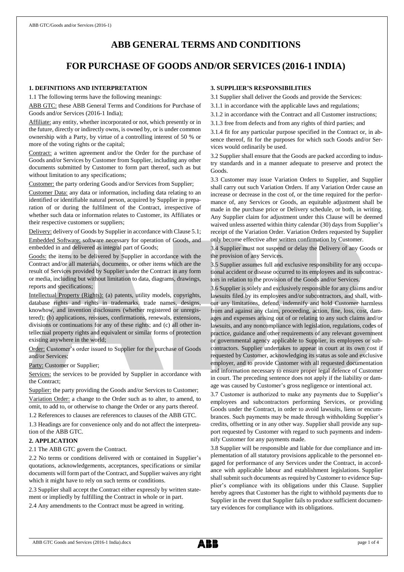# **ABB GENERAL TERMS AND CONDITIONS**

# **FOR PURCHASE OF GOODS AND/OR SERVICES (2016-1 INDIA)**

# **1. DEFINITIONS AND INTERPRETATION**

1.1 The following terms have the following meanings:

ABB GTC: these ABB General Terms and Conditions for Purchase of Goods and/or Services (2016-1 India);

Affiliate: any entity, whether incorporated or not, which presently or in the future, directly or indirectly owns, is owned by, or is under common ownership with a Party, by virtue of a controlling interest of 50 % or more of the voting rights or the capital;

Contract: a written agreement and/or the Order for the purchase of Goods and/or Services by Customer from Supplier, including any other documents submitted by Customer to form part thereof, such as but without limitation to any specifications;

Customer: the party ordering Goods and/or Services from Supplier;

Customer Data: any data or information, including data relating to an identified or identifiable natural person, acquired by Supplier in preparation of or during the fulfilment of the Contract, irrespective of whether such data or information relates to Customer, its Affiliates or their respective customers or suppliers;

Delivery: delivery of Goods by Supplier in accordance with Clause 5.1; Embedded Software: software necessary for operation of Goods, and embedded in and delivered as integral part of Goods;

Goods: the items to be delivered by Supplier in accordance with the Contract and/or all materials, documents, or other items which are the result of Services provided by Supplier under the Contract in any form or media, including but without limitation to data, diagrams, drawings, reports and specifications;

Intellectual Property (Rights): (a) patents, utility models, copyrights, database rights and rights in trademarks, trade names, designs, knowhow, and invention disclosures (whether registered or unregistered); (b) applications, reissues, confirmations, renewals, extensions, divisions or continuations for any of these rights; and (c) all other intellectual property rights and equivalent or similar forms of protection existing anywhere in the world;

Order: Customer's order issued to Supplier for the purchase of Goods and/or Services;

Party: Customer or Supplier;

Services: the services to be provided by Supplier in accordance with the Contract;

Supplier: the party providing the Goods and/or Services to Customer;

Variation Order: a change to the Order such as to alter, to amend, to omit, to add to, or otherwise to change the Order or any parts thereof.

1.2 References to clauses are references to clauses of the ABB GTC.

1.3 Headings are for convenience only and do not affect the interpretation of the ABB GTC.

# **2. APPLICATION**

2.1 The ABB GTC govern the Contract.

2.2 No terms or conditions delivered with or contained in Supplier's quotations, acknowledgements, acceptances, specifications or similar documents will form part of the Contract, and Supplier waives any right which it might have to rely on such terms or conditions.

2.3 Supplier shall accept the Contract either expressly by written statement or impliedly by fulfilling the Contract in whole or in part.

2.4 Any amendments to the Contract must be agreed in writing.

### **3. SUPPLIER'S RESPONSIBILITIES**

3.1 Supplier shall deliver the Goods and provide the Services:

3.1.1 in accordance with the applicable laws and regulations;

- 3.1.2 in accordance with the Contract and all Customer instructions;
- 3.1.3 free from defects and from any rights of third parties; and

3.1.4 fit for any particular purpose specified in the Contract or, in absence thereof, fit for the purposes for which such Goods and/or Services would ordinarily be used.

3.2 Supplier shall ensure that the Goods are packed according to industry standards and in a manner adequate to preserve and protect the Goods.

3.3 Customer may issue Variation Orders to Supplier, and Supplier shall carry out such Variation Orders. If any Variation Order cause an increase or decrease in the cost of, or the time required for the performance of, any Services or Goods, an equitable adjustment shall be made in the purchase price or Delivery schedule, or both, in writing. Any Supplier claim for adjustment under this Clause will be deemed waived unless asserted within thirty calendar (30) days from Supplier's receipt of the Variation Order. Variation Orders requested by Supplier only become effective after written confirmation by Customer.

3.4 Supplier must not suspend or delay the Delivery of any Goods or the provision of any Services.

3.5 Supplier assumes full and exclusive responsibility for any occupational accident or disease occurred to its employees and its subcontractors in relation to the provision of the Goods and/or Services.

3.6 Supplier is solely and exclusively responsible for any claims and/or lawsuits filed by its employees and/or subcontractors, and shall, without any limitations, defend, indemnify and hold Customer harmless from and against any claim, proceeding, action, fine, loss, cost, damages and expenses arising out of or relating to any such claims and/or lawsuits, and any noncompliance with legislation, regulations, codes of practice, guidance and other requirements of any relevant government or governmental agency applicable to Supplier, its employees or subcontractors. Supplier undertakes to appear in court at its own cost if requested by Customer, acknowledging its status as sole and exclusive employer, and to provide Customer with all requested documentation and information necessary to ensure proper legal defence of Customer in court. The preceding sentence does not apply if the liability or damage was caused by Customer's gross negligence or intentional act.

3.7 Customer is authorized to make any payments due to Supplier's employees and subcontractors performing Services, or providing Goods under the Contract, in order to avoid lawsuits, liens or encumbrances. Such payments may be made through withholding Supplier's credits, offsetting or in any other way. Supplier shall provide any support requested by Customer with regard to such payments and indemnify Customer for any payments made.

3.8 Supplier will be responsible and liable for due compliance and implementation of all statutory provisions applicable to the personnel engaged for performance of any Services under the Contract, in accordance with applicable labour and establishment legislations. Supplier shall submit such documents as required by Customer to evidence Supplier's compliance with its obligations under this Clause. Supplier hereby agrees that Customer has the right to withhold payments due to Supplier in the event that Supplier fails to produce sufficient documentary evidences for compliance with its obligations.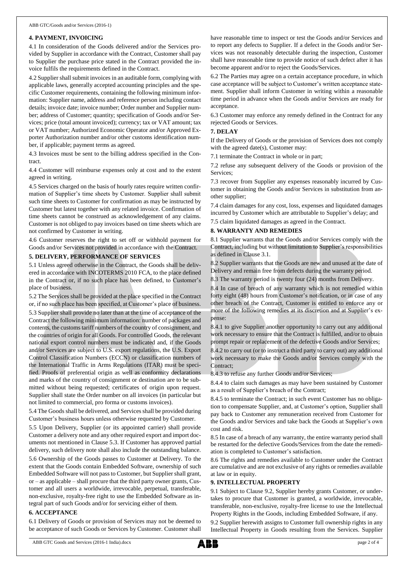# **4. PAYMENT, INVOICING**

4.1 In consideration of the Goods delivered and/or the Services provided by Supplier in accordance with the Contract, Customer shall pay to Supplier the purchase price stated in the Contract provided the invoice fulfils the requirements defined in the Contract.

4.2 Supplier shall submit invoices in an auditable form, complying with applicable laws, generally accepted accounting principles and the specific Customer requirements, containing the following minimum information: Supplier name, address and reference person including contact details; invoice date; invoice number; Order number and Supplier number; address of Customer; quantity; specification of Goods and/or Services; price (total amount invoiced); currency; tax or VAT amount; tax or VAT number; Authorized Economic Operator and/or Approved Exporter Authorization number and/or other customs identification number, if applicable; payment terms as agreed.

4.3 Invoices must be sent to the billing address specified in the Contract.

4.4 Customer will reimburse expenses only at cost and to the extent agreed in writing.

4.5 Services charged on the basis of hourly rates require written confirmation of Supplier's time sheets by Customer. Supplier shall submit such time sheets to Customer for confirmation as may be instructed by Customer but latest together with any related invoice. Confirmation of time sheets cannot be construed as acknowledgement of any claims. Customer is not obliged to pay invoices based on time sheets which are not confirmed by Customer in writing.

4.6 Customer reserves the right to set off or withhold payment for Goods and/or Services not provided in accordance with the Contract.

# **5. DELIVERY, PERFORMANCE OF SERVICES**

5.1 Unless agreed otherwise in the Contract, the Goods shall be delivered in accordance with INCOTERMS 2010 FCA, to the place defined in the Contract or, if no such place has been defined, to Customer's place of business.

5.2 The Services shall be provided at the place specified in the Contract or, if no such place has been specified, at Customer's place of business. 5.3 Supplier shall provide no later than at the time of acceptance of the Contract the following minimum information: number of packages and contents, the customs tariff numbers of the country of consignment, and the countries of origin for all Goods. For controlled Goods, the relevant national export control numbers must be indicated and, if the Goods and/or Services are subject to U.S. export regulations, the U.S. Export Control Classification Numbers (ECCN) or classification numbers of the International Traffic in Arms Regulations (ITAR) must be specified. Proofs of preferential origin as well as conformity declarations and marks of the country of consignment or destination are to be submitted without being requested; certificates of origin upon request. Supplier shall state the Order number on all invoices (in particular but not limited to commercial, pro forma or customs invoices).

5.4 The Goods shall be delivered, and Services shall be provided during Customer's business hours unless otherwise requested by Customer.

5.5 Upon Delivery, Supplier (or its appointed carrier) shall provide Customer a delivery note and any other required export and import documents not mentioned in Clause 5.3. If Customer has approved partial delivery, such delivery note shall also include the outstanding balance.

5.6 Ownership of the Goods passes to Customer at Delivery. To the extent that the Goods contain Embedded Software, ownership of such Embedded Software will not passto Customer, but Supplier shall grant, or – as applicable – shall procure that the third party owner grants, Customer and all users a worldwide, irrevocable, perpetual, transferable, non-exclusive, royalty-free right to use the Embedded Software as integral part of such Goods and/or for servicing either of them.

# **6. ACCEPTANCE**

6.1 Delivery of Goods or provision of Services may not be deemed to be acceptance of such Goods or Services by Customer. Customer shall

have reasonable time to inspect or test the Goods and/or Services and to report any defects to Supplier. If a defect in the Goods and/or Services was not reasonably detectable during the inspection, Customer shall have reasonable time to provide notice of such defect after it has become apparent and/or to reject the Goods/Services.

6.2 The Parties may agree on a certain acceptance procedure, in which case acceptance will be subject to Customer's written acceptance statement. Supplier shall inform Customer in writing within a reasonable time period in advance when the Goods and/or Services are ready for acceptance.

6.3 Customer may enforce any remedy defined in the Contract for any rejected Goods or Services.

# **7. DELAY**

If the Delivery of Goods or the provision of Services does not comply with the agreed date(s), Customer may:

7.1 terminate the Contract in whole or in part;

7.2 refuse any subsequent delivery of the Goods or provision of the Services;

7.3 recover from Supplier any expenses reasonably incurred by Customer in obtaining the Goods and/or Services in substitution from another supplier;

7.4 claim damages for any cost, loss, expenses and liquidated damages incurred by Customer which are attributable to Supplier's delay; and

7.5 claim liquidated damages as agreed in the Contract.

# **8. WARRANTY AND REMEDIES**

8.1 Supplier warrants that the Goods and/or Services comply with the Contract, including but without limitation to Supplier's responsibilities as defined in Clause 3.1.

8.2 Supplier warrants that the Goods are new and unused at the date of Delivery and remain free from defects during the warranty period.

8.3 The warranty period is twenty four (24) months from Delivery.

8.4 In case of breach of any warranty which is not remedied within forty eight (48) hours from Customer's notification, or in case of any other breach of the Contract, Customer is entitled to enforce any or more of the following remedies at its discretion and at Supplier's expense:

8.4.1 to give Supplier another opportunity to carry out any additional work necessary to ensure that the Contract is fulfilled, and/or to obtain prompt repair or replacement of the defective Goods and/or Services;

8.4.2 to carry out (or to instruct a third party to carry out) any additional work necessary to make the Goods and/or Services comply with the Contract;

8.4.3 to refuse any further Goods and/or Services;

8.4.4 to claim such damages as may have been sustained by Customer as a result of Supplier's breach of the Contract;

8.4.5 to terminate the Contract; in such event Customer has no obligation to compensate Supplier, and, at Customer's option, Supplier shall pay back to Customer any remuneration received from Customer for the Goods and/or Services and take back the Goods at Supplier's own cost and risk.

8.5 In case of a breach of any warranty, the entire warranty period shall be restarted for the defective Goods/Services from the date the remediation is completed to Customer's satisfaction.

8.6 The rights and remedies available to Customer under the Contract are cumulative and are not exclusive of any rights or remedies available at law or in equity.

# **9. INTELLECTUAL PROPERTY**

9.1 Subject to Clause 9.2, Supplier hereby grants Customer, or undertakes to procure that Customer is granted, a worldwide, irrevocable, transferable, non-exclusive, royalty-free license to use the Intellectual Property Rights in the Goods, including Embedded Software, if any.

9.2 Supplier herewith assigns to Customer full ownership rights in any Intellectual Property in Goods resulting from the Services. Supplier

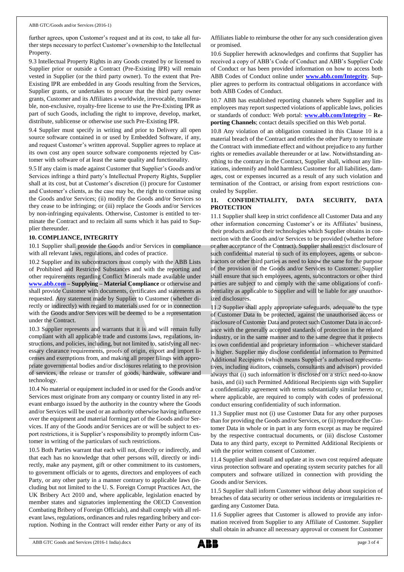further agrees, upon Customer's request and at its cost, to take all further steps necessary to perfect Customer's ownership to the Intellectual Property.

9.3 Intellectual Property Rights in any Goods created by or licensed to Supplier prior or outside a Contract (Pre-Existing IPR) will remain vested in Supplier (or the third party owner). To the extent that Pre-Existing IPR are embedded in any Goods resulting from the Services, Supplier grants, or undertakes to procure that the third party owner grants, Customer and its Affiliates a worldwide, irrevocable, transferable, non-exclusive, royalty-free license to use the Pre-Existing IPR as part of such Goods, including the right to improve, develop, market, distribute, sublicense or otherwise use such Pre-Existing IPR.

9.4 Supplier must specify in writing and prior to Delivery all open source software contained in or used by Embedded Software, if any, and request Customer's written approval. Supplier agrees to replace at its own cost any open source software components rejected by Customer with software of at least the same quality and functionality.

9.5 If any claim is made against Customer that Supplier's Goods and/or Services infringe a third party's Intellectual Property Rights, Supplier shall at its cost, but at Customer's discretion (i) procure for Customer and Customer's clients, as the case may be, the right to continue using the Goods and/or Services; (ii) modify the Goods and/or Services so they cease to be infringing; or (iii) replace the Goods and/or Services by non-infringing equivalents. Otherwise, Customer is entitled to terminate the Contract and to reclaim all sums which it has paid to Supplier thereunder.

#### **10. COMPLIANCE, INTEGRITY**

10.1 Supplier shall provide the Goods and/or Services in compliance with all relevant laws, regulations, and codes of practice.

10.2 Supplier and its subcontractors must comply with the ABB Lists of Prohibited and Restricted Substances and with the reporting and other requirements regarding Conflict Minerals made available under **[www.abb.com](http://www.abb.com/) – Supplying – Material Compliance** or otherwise and shall provide Customer with documents, certificates and statements as requested. Any statement made by Supplier to Customer (whether directly or indirectly) with regard to materials used for or in connection with the Goods and/or Services will be deemed to be a representation under the Contract.

10.3 Supplier represents and warrants that it is and will remain fully compliant with all applicable trade and customs laws, regulations, instructions, and policies, including, but not limited to, satisfying all necessary clearance requirements, proofs of origin, export and import licenses and exemptions from, and making all proper filings with appropriate governmental bodies and/or disclosures relating to the provision of services, the release or transfer of goods, hardware, software and technology.

10.4 No material or equipment included in or used for the Goods and/or Services must originate from any company or country listed in any relevant embargo issued by the authority in the country where the Goods and/or Services will be used or an authority otherwise having influence over the equipment and material forming part of the Goods and/or Services. If any of the Goods and/or Services are or will be subject to export restrictions, it is Supplier's responsibility to promptly inform Customer in writing of the particulars of such restrictions.

10.5 Both Parties warrant that each will not, directly or indirectly, and that each has no knowledge that other persons will, directly or indirectly, make any payment, gift or other commitment to its customers, to government officials or to agents, directors and employees of each Party, or any other party in a manner contrary to applicable laws (including but not limited to the U. S. Foreign Corrupt Practices Act, the UK Bribery Act 2010 and, where applicable, legislation enacted by member states and signatories implementing the OECD Convention Combating Bribery of Foreign Officials), and shall comply with all relevant laws, regulations, ordinances and rules regarding bribery and corruption. Nothing in the Contract will render either Party or any of its Affiliates liable to reimburse the other for any such consideration given or promised.

10.6 Supplier herewith acknowledges and confirms that Supplier has received a copy of ABB's Code of Conduct and ABB's Supplier Code of Conduct or has been provided information on how to access both ABB Codes of Conduct online under **[www.abb.com/Integrity](http://www.abb.com/Integrity)**. Supplier agrees to perform its contractual obligations in accordance with both ABB Codes of Conduct.

10.7 ABB has established reporting channels where Supplier and its employees may report suspected violations of applicable laws, policies or standards of conduct: Web portal: **[www.abb.com/Integrity](http://www.abb.com/Integrity) – Reporting Channels**; contact details specified on this Web portal.

10.8 Any violation of an obligation contained in this Clause 10 is a material breach of the Contract and entitles the other Party to terminate the Contract with immediate effect and without prejudice to any further rights or remedies available thereunder or at law. Notwithstanding anything to the contrary in the Contract, Supplier shall, without any limitations, indemnify and hold harmless Customer for all liabilities, damages, cost or expenses incurred as a result of any such violation and termination of the Contract, or arising from export restrictions concealed by Supplier.

# **11. CONFIDENTIALITY, DATA SECURITY, DATA PROTECTION**

11.1 Supplier shall keep in strict confidence all Customer Data and any other information concerning Customer's or its Affiliates' business, their products and/or their technologies which Supplier obtains in connection with the Goods and/or Services to be provided (whether before or after acceptance of the Contract). Supplier shall restrict disclosure of such confidential material to such of its employees, agents or subcontractors or other third parties as need to know the same for the purpose of the provision of the Goods and/or Services to Customer. Supplier shall ensure that such employees, agents, subcontractors or other third parties are subject to and comply with the same obligations of confidentiality as applicable to Supplier and will be liable for any unauthorized disclosures.

11.2 Supplier shall apply appropriate safeguards, adequate to the type of Customer Data to be protected, against the unauthorised access or disclosure of Customer Data and protect such Customer Data in accordance with the generally accepted standards of protection in the related industry, or in the same manner and to the same degree that it protects its own confidential and proprietary information – whichever standard is higher. Supplier may disclose confidential information to Permitted Additional Recipients (which means Supplier's authorised representatives, including auditors, counsels, consultants and advisors) provided always that (i) such information is disclosed on a strict need-to-know basis, and (ii) such Permitted Additional Recipients sign with Supplier a confidentiality agreement with terms substantially similar hereto or, where applicable, are required to comply with codes of professional conduct ensuring confidentiality of such information.

11.3 Supplier must not (i) use Customer Data for any other purposes than for providing the Goods and/or Services, or (ii) reproduce the Customer Data in whole or in part in any form except as may be required by the respective contractual documents, or (iii) disclose Customer Data to any third party, except to Permitted Additional Recipients or with the prior written consent of Customer.

11.4 Supplier shall install and update at its own cost required adequate virus protection software and operating system security patches for all computers and software utilized in connection with providing the Goods and/or Services.

11.5 Supplier shall inform Customer without delay about suspicion of breaches of data security or other serious incidents or irregularities regarding any Customer Data.

11.6 Supplier agrees that Customer is allowed to provide any information received from Supplier to any Affiliate of Customer. Supplier shall obtain in advance all necessary approval or consent for Customer